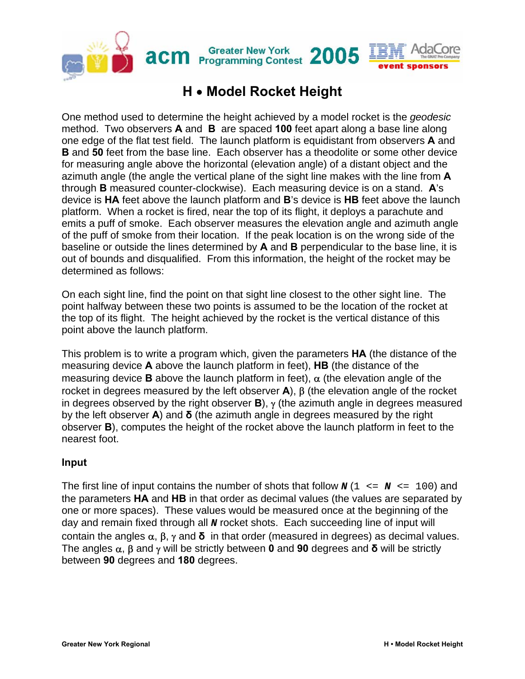

## **H** • **Model Rocket Height**

One method used to determine the height achieved by a model rocket is the *geodesic* method. Two observers **A** and **B** are spaced **100** feet apart along a base line along one edge of the flat test field. The launch platform is equidistant from observers **A** and **B** and **50** feet from the base line. Each observer has a theodolite or some other device for measuring angle above the horizontal (elevation angle) of a distant object and the azimuth angle (the angle the vertical plane of the sight line makes with the line from **A** through **B** measured counter-clockwise). Each measuring device is on a stand. **A**'s device is **HA** feet above the launch platform and **B**'s device is **HB** feet above the launch platform. When a rocket is fired, near the top of its flight, it deploys a parachute and emits a puff of smoke. Each observer measures the elevation angle and azimuth angle of the puff of smoke from their location. If the peak location is on the wrong side of the baseline or outside the lines determined by **A** and **B** perpendicular to the base line, it is out of bounds and disqualified. From this information, the height of the rocket may be determined as follows:

On each sight line, find the point on that sight line closest to the other sight line. The point halfway between these two points is assumed to be the location of the rocket at the top of its flight. The height achieved by the rocket is the vertical distance of this point above the launch platform.

This problem is to write a program which, given the parameters **HA** (the distance of the measuring device **A** above the launch platform in feet), **HB** (the distance of the measuring device **B** above the launch platform in feet),  $\alpha$  (the elevation angle of the rocket in degrees measured by the left observer **A**), β (the elevation angle of the rocket in degrees observed by the right observer **B**), γ (the azimuth angle in degrees measured by the left observer **A**) and **δ** (the azimuth angle in degrees measured by the right observer **B**), computes the height of the rocket above the launch platform in feet to the nearest foot.

## **Input**

The first line of input contains the number of shots that follow  $\mathbf{N}$  (1  $\leq \mathbf{N} \leq 100$ ) and the parameters **HA** and **HB** in that order as decimal values (the values are separated by one or more spaces). These values would be measured once at the beginning of the day and remain fixed through all *N* rocket shots. Each succeeding line of input will contain the angles α, β, γ and **δ** in that order (measured in degrees) as decimal values. The angles α, β and γ will be strictly between **0** and **90** degrees and **δ** will be strictly between **90** degrees and **180** degrees.